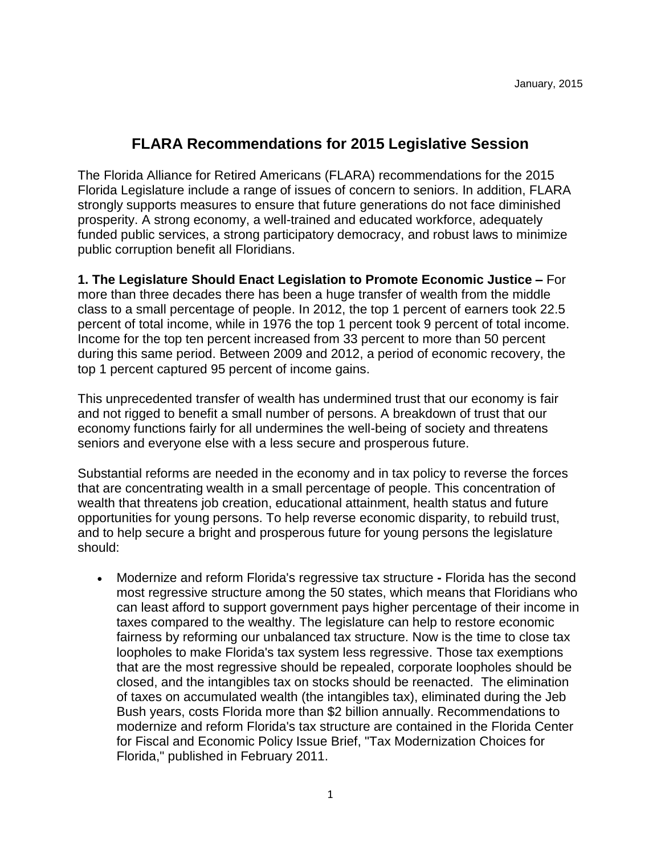## **FLARA Recommendations for 2015 Legislative Session**

The Florida Alliance for Retired Americans (FLARA) recommendations for the 2015 Florida Legislature include a range of issues of concern to seniors. In addition, FLARA strongly supports measures to ensure that future generations do not face diminished prosperity. A strong economy, a well-trained and educated workforce, adequately funded public services, a strong participatory democracy, and robust laws to minimize public corruption benefit all Floridians.

**1. The Legislature Should Enact Legislation to Promote Economic Justice –** For more than three decades there has been a huge transfer of wealth from the middle class to a small percentage of people. In 2012, the top 1 percent of earners took 22.5 percent of total income, while in 1976 the top 1 percent took 9 percent of total income. Income for the top ten percent increased from 33 percent to more than 50 percent during this same period. Between 2009 and 2012, a period of economic recovery, the top 1 percent captured 95 percent of income gains.

This unprecedented transfer of wealth has undermined trust that our economy is fair and not rigged to benefit a small number of persons. A breakdown of trust that our economy functions fairly for all undermines the well-being of society and threatens seniors and everyone else with a less secure and prosperous future.

Substantial reforms are needed in the economy and in tax policy to reverse the forces that are concentrating wealth in a small percentage of people. This concentration of wealth that threatens job creation, educational attainment, health status and future opportunities for young persons. To help reverse economic disparity, to rebuild trust, and to help secure a bright and prosperous future for young persons the legislature should:

 Modernize and reform Florida's regressive tax structure **-** Florida has the second most regressive structure among the 50 states, which means that Floridians who can least afford to support government pays higher percentage of their income in taxes compared to the wealthy. The legislature can help to restore economic fairness by reforming our unbalanced tax structure. Now is the time to close tax loopholes to make Florida's tax system less regressive. Those tax exemptions that are the most regressive should be repealed, corporate loopholes should be closed, and the intangibles tax on stocks should be reenacted. The elimination of taxes on accumulated wealth (the intangibles tax), eliminated during the Jeb Bush years, costs Florida more than \$2 billion annually. Recommendations to modernize and reform Florida's tax structure are contained in the Florida Center for Fiscal and Economic Policy Issue Brief, "Tax Modernization Choices for Florida," published in February 2011.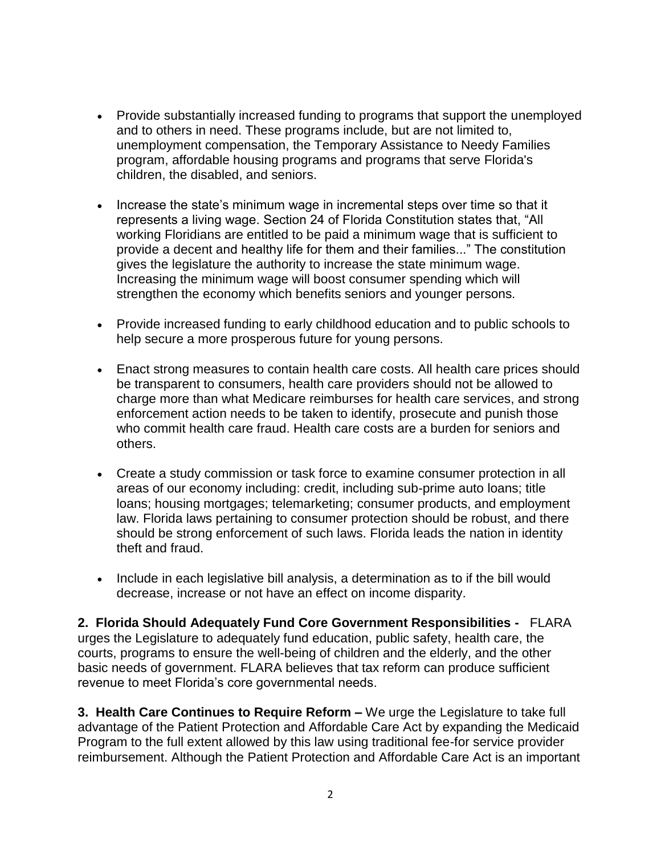- Provide substantially increased funding to programs that support the unemployed and to others in need. These programs include, but are not limited to, unemployment compensation, the Temporary Assistance to Needy Families program, affordable housing programs and programs that serve Florida's children, the disabled, and seniors.
- Increase the state's minimum wage in incremental steps over time so that it represents a living wage. Section 24 of Florida Constitution states that, "All working Floridians are entitled to be paid a minimum wage that is sufficient to provide a decent and healthy life for them and their families..." The constitution gives the legislature the authority to increase the state minimum wage. Increasing the minimum wage will boost consumer spending which will strengthen the economy which benefits seniors and younger persons.
- Provide increased funding to early childhood education and to public schools to help secure a more prosperous future for young persons.
- Enact strong measures to contain health care costs. All health care prices should be transparent to consumers, health care providers should not be allowed to charge more than what Medicare reimburses for health care services, and strong enforcement action needs to be taken to identify, prosecute and punish those who commit health care fraud. Health care costs are a burden for seniors and others.
- Create a study commission or task force to examine consumer protection in all areas of our economy including: credit, including sub-prime auto loans; title loans; housing mortgages; telemarketing; consumer products, and employment law. Florida laws pertaining to consumer protection should be robust, and there should be strong enforcement of such laws. Florida leads the nation in identity theft and fraud.
- Include in each legislative bill analysis, a determination as to if the bill would decrease, increase or not have an effect on income disparity.

**2. Florida Should Adequately Fund Core Government Responsibilities -** FLARA urges the Legislature to adequately fund education, public safety, health care, the courts, programs to ensure the well-being of children and the elderly, and the other basic needs of government. FLARA believes that tax reform can produce sufficient revenue to meet Florida's core governmental needs.

**3. Health Care Continues to Require Reform –** We urge the Legislature to take full advantage of the Patient Protection and Affordable Care Act by expanding the Medicaid Program to the full extent allowed by this law using traditional fee-for service provider reimbursement. Although the Patient Protection and Affordable Care Act is an important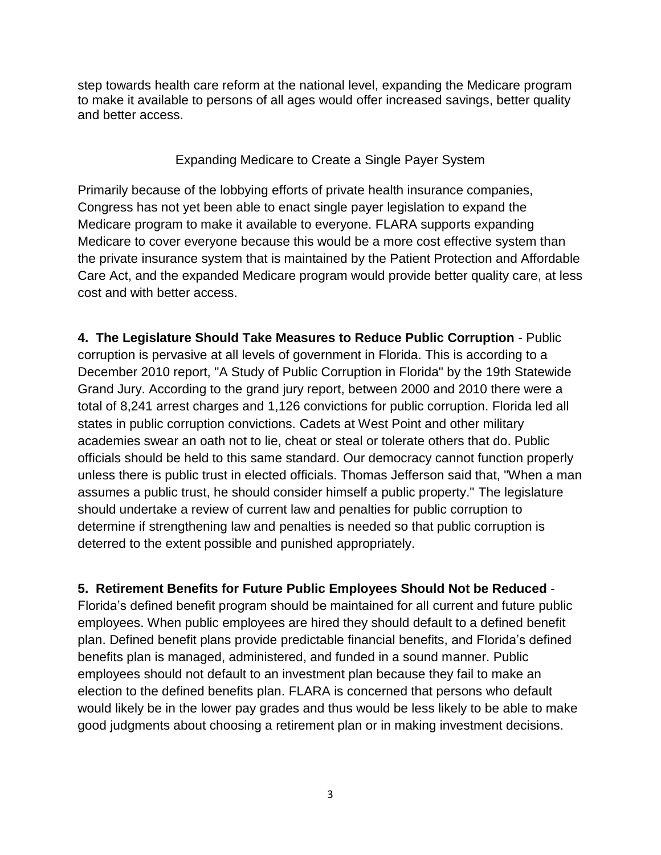step towards health care reform at the national level, expanding the Medicare program to make it available to persons of all ages would offer increased savings, better quality and better access.

Expanding Medicare to Create a Single Payer System

Primarily because of the lobbying efforts of private health insurance companies, Congress has not yet been able to enact single payer legislation to expand the Medicare program to make it available to everyone. FLARA supports expanding Medicare to cover everyone because this would be a more cost effective system than the private insurance system that is maintained by the Patient Protection and Affordable Care Act, and the expanded Medicare program would provide better quality care, at less cost and with better access.

**4. The Legislature Should Take Measures to Reduce Public Corruption** - Public corruption is pervasive at all levels of government in Florida. This is according to a December 2010 report, "A Study of Public Corruption in Florida" by the 19th Statewide Grand Jury. According to the grand jury report, between 2000 and 2010 there were a total of 8,241 arrest charges and 1,126 convictions for public corruption. Florida led all states in public corruption convictions. Cadets at West Point and other military academies swear an oath not to lie, cheat or steal or tolerate others that do. Public officials should be held to this same standard. Our democracy cannot function properly unless there is public trust in elected officials. Thomas Jefferson said that, "When a man assumes a public trust, he should consider himself a public property." The legislature should undertake a review of current law and penalties for public corruption to determine if strengthening law and penalties is needed so that public corruption is deterred to the extent possible and punished appropriately.

**5. Retirement Benefits for Future Public Employees Should Not be Reduced** -

Florida's defined benefit program should be maintained for all current and future public employees. When public employees are hired they should default to a defined benefit plan. Defined benefit plans provide predictable financial benefits, and Florida's defined benefits plan is managed, administered, and funded in a sound manner. Public employees should not default to an investment plan because they fail to make an election to the defined benefits plan. FLARA is concerned that persons who default would likely be in the lower pay grades and thus would be less likely to be able to make good judgments about choosing a retirement plan or in making investment decisions.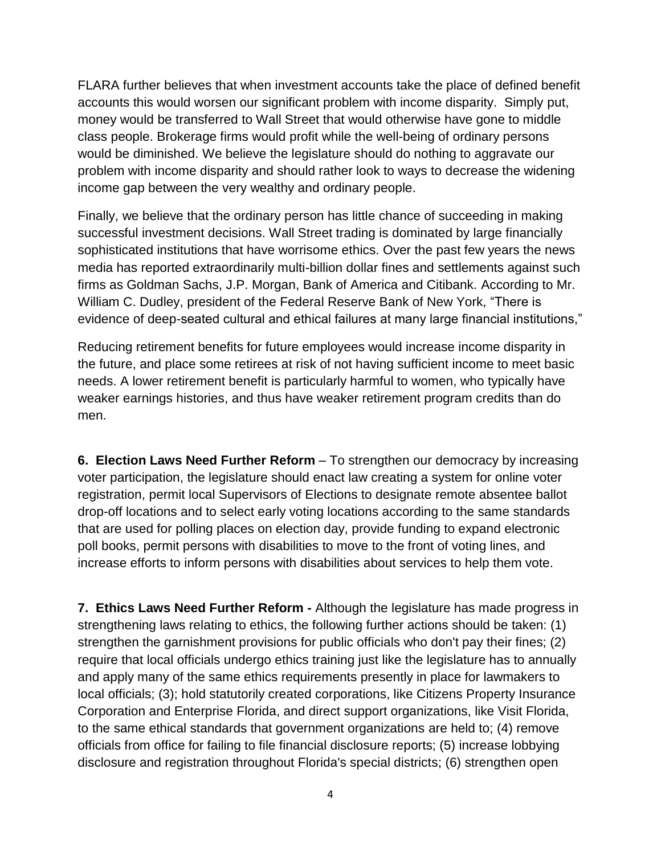FLARA further believes that when investment accounts take the place of defined benefit accounts this would worsen our significant problem with income disparity. Simply put, money would be transferred to Wall Street that would otherwise have gone to middle class people. Brokerage firms would profit while the well-being of ordinary persons would be diminished. We believe the legislature should do nothing to aggravate our problem with income disparity and should rather look to ways to decrease the widening income gap between the very wealthy and ordinary people.

Finally, we believe that the ordinary person has little chance of succeeding in making successful investment decisions. Wall Street trading is dominated by large financially sophisticated institutions that have worrisome ethics. Over the past few years the news media has reported extraordinarily multi-billion dollar fines and settlements against such firms as Goldman Sachs, J.P. Morgan, Bank of America and Citibank. According to Mr. William C. Dudley, president of the Federal Reserve Bank of New York, "There is evidence of deep-seated cultural and ethical failures at many large financial institutions,"

Reducing retirement benefits for future employees would increase income disparity in the future, and place some retirees at risk of not having sufficient income to meet basic needs. A lower retirement benefit is particularly harmful to women, who typically have weaker earnings histories, and thus have weaker retirement program credits than do men.

**6. Election Laws Need Further Reform** – To strengthen our democracy by increasing voter participation, the legislature should enact law creating a system for online voter registration, permit local Supervisors of Elections to designate remote absentee ballot drop-off locations and to select early voting locations according to the same standards that are used for polling places on election day, provide funding to expand electronic poll books, permit persons with disabilities to move to the front of voting lines, and increase efforts to inform persons with disabilities about services to help them vote.

**7. Ethics Laws Need Further Reform -** Although the legislature has made progress in strengthening laws relating to ethics, the following further actions should be taken: (1) strengthen the garnishment provisions for public officials who don't pay their fines; (2) require that local officials undergo ethics training just like the legislature has to annually and apply many of the same ethics requirements presently in place for lawmakers to local officials; (3); hold statutorily created corporations, like Citizens Property Insurance Corporation and Enterprise Florida, and direct support organizations, like Visit Florida, to the same ethical standards that government organizations are held to; (4) remove officials from office for failing to file financial disclosure reports; (5) increase lobbying disclosure and registration throughout Florida's special districts; (6) strengthen open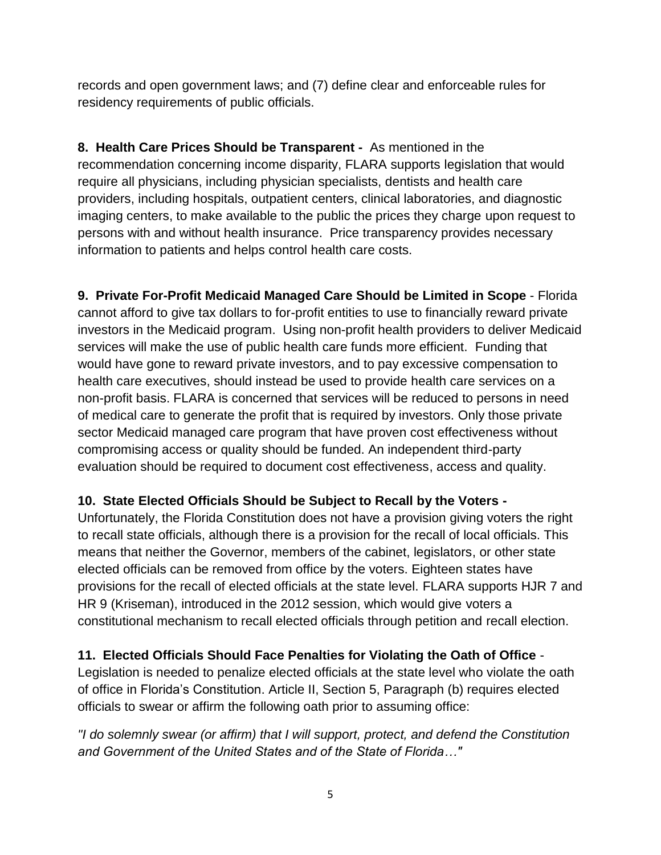records and open government laws; and (7) define clear and enforceable rules for residency requirements of public officials.

**8. Health Care Prices Should be Transparent -** As mentioned in the recommendation concerning income disparity, FLARA supports legislation that would require all physicians, including physician specialists, dentists and health care providers, including hospitals, outpatient centers, clinical laboratories, and diagnostic imaging centers, to make available to the public the prices they charge upon request to persons with and without health insurance. Price transparency provides necessary information to patients and helps control health care costs.

**9. Private For-Profit Medicaid Managed Care Should be Limited in Scope** - Florida cannot afford to give tax dollars to for-profit entities to use to financially reward private investors in the Medicaid program. Using non-profit health providers to deliver Medicaid services will make the use of public health care funds more efficient. Funding that would have gone to reward private investors, and to pay excessive compensation to health care executives, should instead be used to provide health care services on a non-profit basis. FLARA is concerned that services will be reduced to persons in need of medical care to generate the profit that is required by investors. Only those private sector Medicaid managed care program that have proven cost effectiveness without compromising access or quality should be funded. An independent third-party evaluation should be required to document cost effectiveness, access and quality.

## **10. State Elected Officials Should be Subject to Recall by the Voters -**

Unfortunately, the Florida Constitution does not have a provision giving voters the right to recall state officials, although there is a provision for the recall of local officials. This means that neither the Governor, members of the cabinet, legislators, or other state elected officials can be removed from office by the voters. Eighteen states have provisions for the recall of elected officials at the state level. FLARA supports HJR 7 and HR 9 (Kriseman), introduced in the 2012 session, which would give voters a constitutional mechanism to recall elected officials through petition and recall election.

## **11. Elected Officials Should Face Penalties for Violating the Oath of Office** -

Legislation is needed to penalize elected officials at the state level who violate the oath of office in Florida's Constitution. Article II, Section 5, Paragraph (b) requires elected officials to swear or affirm the following oath prior to assuming office:

*"I do solemnly swear (or affirm) that I will support, protect, and defend the Constitution and Government of the United States and of the State of Florida…"*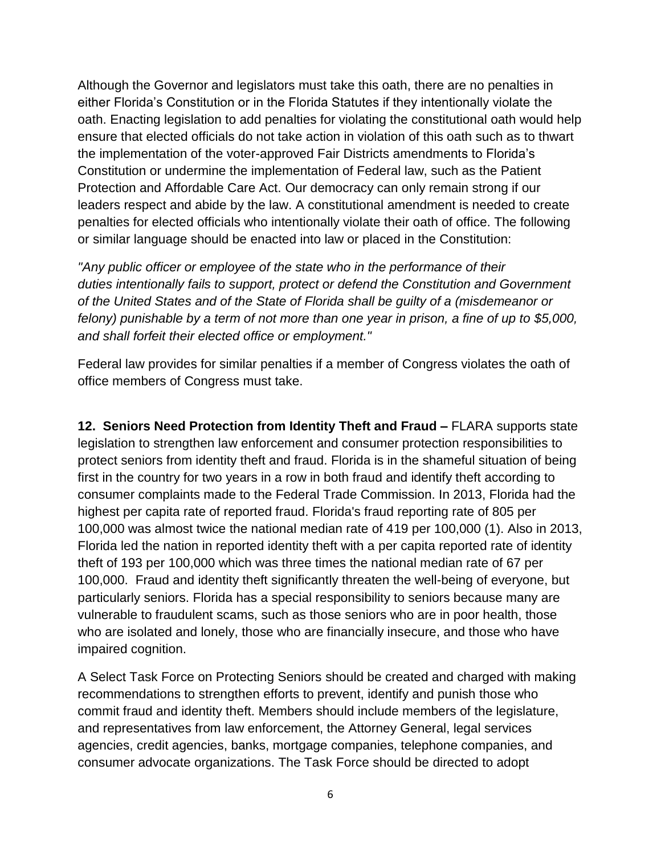Although the Governor and legislators must take this oath, there are no penalties in either Florida's Constitution or in the Florida Statutes if they intentionally violate the oath. Enacting legislation to add penalties for violating the constitutional oath would help ensure that elected officials do not take action in violation of this oath such as to thwart the implementation of the voter-approved Fair Districts amendments to Florida's Constitution or undermine the implementation of Federal law, such as the Patient Protection and Affordable Care Act. Our democracy can only remain strong if our leaders respect and abide by the law. A constitutional amendment is needed to create penalties for elected officials who intentionally violate their oath of office. The following or similar language should be enacted into law or placed in the Constitution:

*"Any public officer or employee of the state who in the performance of their duties intentionally fails to support, protect or defend the Constitution and Government of the United States and of the State of Florida shall be guilty of a (misdemeanor or felony) punishable by a term of not more than one year in prison, a fine of up to \$5,000, and shall forfeit their elected office or employment."*

Federal law provides for similar penalties if a member of Congress violates the oath of office members of Congress must take.

**12. Seniors Need Protection from Identity Theft and Fraud –** FLARA supports state legislation to strengthen law enforcement and consumer protection responsibilities to protect seniors from identity theft and fraud. Florida is in the shameful situation of being first in the country for two years in a row in both fraud and identify theft according to consumer complaints made to the Federal Trade Commission. In 2013, Florida had the highest per capita rate of reported fraud. Florida's fraud reporting rate of 805 per 100,000 was almost twice the national median rate of 419 per 100,000 (1). Also in 2013, Florida led the nation in reported identity theft with a per capita reported rate of identity theft of 193 per 100,000 which was three times the national median rate of 67 per 100,000. Fraud and identity theft significantly threaten the well-being of everyone, but particularly seniors. Florida has a special responsibility to seniors because many are vulnerable to fraudulent scams, such as those seniors who are in poor health, those who are isolated and lonely, those who are financially insecure, and those who have impaired cognition.

A Select Task Force on Protecting Seniors should be created and charged with making recommendations to strengthen efforts to prevent, identify and punish those who commit fraud and identity theft. Members should include members of the legislature, and representatives from law enforcement, the Attorney General, legal services agencies, credit agencies, banks, mortgage companies, telephone companies, and consumer advocate organizations. The Task Force should be directed to adopt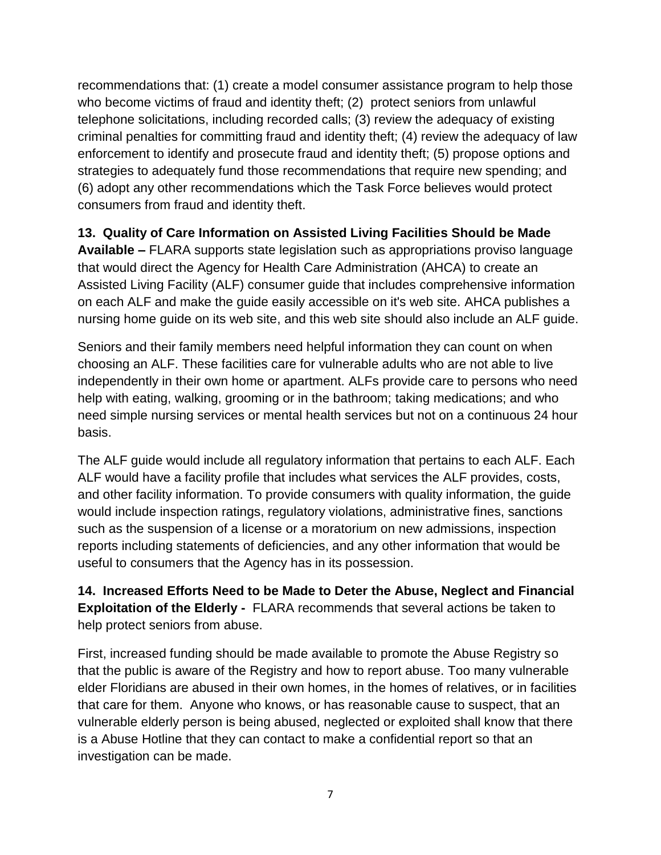recommendations that: (1) create a model consumer assistance program to help those who become victims of fraud and identity theft; (2) protect seniors from unlawful telephone solicitations, including recorded calls; (3) review the adequacy of existing criminal penalties for committing fraud and identity theft; (4) review the adequacy of law enforcement to identify and prosecute fraud and identity theft; (5) propose options and strategies to adequately fund those recommendations that require new spending; and (6) adopt any other recommendations which the Task Force believes would protect consumers from fraud and identity theft.

**13. Quality of Care Information on Assisted Living Facilities Should be Made Available –** FLARA supports state legislation such as appropriations proviso language that would direct the Agency for Health Care Administration (AHCA) to create an Assisted Living Facility (ALF) consumer guide that includes comprehensive information on each ALF and make the guide easily accessible on it's web site. AHCA publishes a nursing home guide on its web site, and this web site should also include an ALF guide.

Seniors and their family members need helpful information they can count on when choosing an ALF. These facilities care for vulnerable adults who are not able to live independently in their own home or apartment. ALFs provide care to persons who need help with eating, walking, grooming or in the bathroom; taking medications; and who need simple nursing services or mental health services but not on a continuous 24 hour basis.

The ALF guide would include all regulatory information that pertains to each ALF. Each ALF would have a facility profile that includes what services the ALF provides, costs, and other facility information. To provide consumers with quality information, the guide would include inspection ratings, regulatory violations, administrative fines, sanctions such as the suspension of a license or a moratorium on new admissions, inspection reports including statements of deficiencies, and any other information that would be useful to consumers that the Agency has in its possession.

**14. Increased Efforts Need to be Made to Deter the Abuse, Neglect and Financial Exploitation of the Elderly -** FLARA recommends that several actions be taken to help protect seniors from abuse.

First, increased funding should be made available to promote the Abuse Registry so that the public is aware of the Registry and how to report abuse. Too many vulnerable elder Floridians are abused in their own homes, in the homes of relatives, or in facilities that care for them. Anyone who knows, or has reasonable cause to suspect, that an vulnerable elderly person is being abused, neglected or exploited shall know that there is a Abuse Hotline that they can contact to make a confidential report so that an investigation can be made.